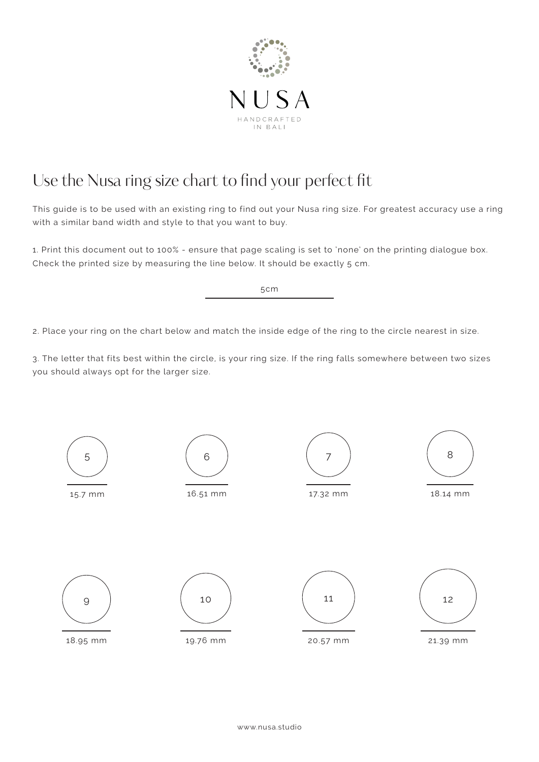

## Use the Nusa ring size chart to find your perfect fit

This guide is to be used with an existing ring to find out your Nusa ring size. For greatest accuracy use a ring with a similar band width and style to that you want to buy.

1. Print this document out to 100% - ensure that page scaling is set to 'none' on the printing dialogue box. Check the printed size by measuring the line below. It should be exactly 5 cm.

5cm

2. Place your ring on the chart below and match the inside edge of the ring to the circle nearest in size.

3. The letter that fits best within the circle, is your ring size. If the ring falls somewhere between two sizes you should always opt for the larger size.